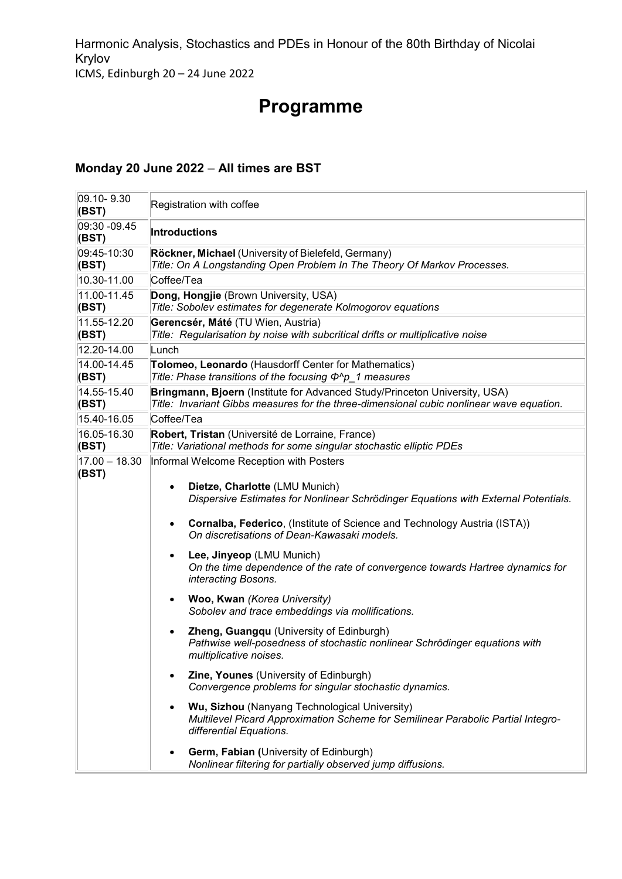Harmonic Analysis, Stochastics and PDEs in Honour of the 80th Birthday of Nicolai Krylov ICMS, Edinburgh 20 – 24 June 2022

# **Programme**

#### **Monday 20 June 2022** – **All times are BST**

| 09.10-9.30<br>(BST)      | Registration with coffee                                                                                                                                                                                                                                                                                                                                                                                                                                                                                                                                                                                                                                                                                                                                                                                                                                                                                                                   |
|--------------------------|--------------------------------------------------------------------------------------------------------------------------------------------------------------------------------------------------------------------------------------------------------------------------------------------------------------------------------------------------------------------------------------------------------------------------------------------------------------------------------------------------------------------------------------------------------------------------------------------------------------------------------------------------------------------------------------------------------------------------------------------------------------------------------------------------------------------------------------------------------------------------------------------------------------------------------------------|
| 09:30 -09.45<br>(BST)    | <b>Introductions</b>                                                                                                                                                                                                                                                                                                                                                                                                                                                                                                                                                                                                                                                                                                                                                                                                                                                                                                                       |
| 09:45-10:30<br>(BST)     | Röckner, Michael (University of Bielefeld, Germany)<br>Title: On A Longstanding Open Problem In The Theory Of Markov Processes.                                                                                                                                                                                                                                                                                                                                                                                                                                                                                                                                                                                                                                                                                                                                                                                                            |
| 10.30-11.00              | Coffee/Tea                                                                                                                                                                                                                                                                                                                                                                                                                                                                                                                                                                                                                                                                                                                                                                                                                                                                                                                                 |
| 11.00-11.45<br>(BST)     | Dong, Hongjie (Brown University, USA)<br>Title: Sobolev estimates for degenerate Kolmogorov equations                                                                                                                                                                                                                                                                                                                                                                                                                                                                                                                                                                                                                                                                                                                                                                                                                                      |
| 11.55-12.20<br>(BST)     | Gerencsér, Máté (TU Wien, Austria)<br>Title: Regularisation by noise with subcritical drifts or multiplicative noise                                                                                                                                                                                                                                                                                                                                                                                                                                                                                                                                                                                                                                                                                                                                                                                                                       |
| 12.20-14.00              | Lunch                                                                                                                                                                                                                                                                                                                                                                                                                                                                                                                                                                                                                                                                                                                                                                                                                                                                                                                                      |
| 14.00-14.45<br>(BST)     | Tolomeo, Leonardo (Hausdorff Center for Mathematics)<br>Title: Phase transitions of the focusing $\Phi^{\wedge}p_{1}$ measures                                                                                                                                                                                                                                                                                                                                                                                                                                                                                                                                                                                                                                                                                                                                                                                                             |
| 14.55-15.40<br>(BST)     | Bringmann, Bjoern (Institute for Advanced Study/Princeton University, USA)<br>Title: Invariant Gibbs measures for the three-dimensional cubic nonlinear wave equation.                                                                                                                                                                                                                                                                                                                                                                                                                                                                                                                                                                                                                                                                                                                                                                     |
| 15.40-16.05              | Coffee/Tea                                                                                                                                                                                                                                                                                                                                                                                                                                                                                                                                                                                                                                                                                                                                                                                                                                                                                                                                 |
| 16.05-16.30<br>(BST)     | Robert, Tristan (Université de Lorraine, France)<br>Title: Variational methods for some singular stochastic elliptic PDEs                                                                                                                                                                                                                                                                                                                                                                                                                                                                                                                                                                                                                                                                                                                                                                                                                  |
| $17.00 - 18.30$<br>(BST) | Informal Welcome Reception with Posters<br>Dietze, Charlotte (LMU Munich)<br>٠<br>Dispersive Estimates for Nonlinear Schrödinger Equations with External Potentials.<br>Cornalba, Federico, (Institute of Science and Technology Austria (ISTA))<br>On discretisations of Dean-Kawasaki models.<br>Lee, Jinyeop (LMU Munich)<br>$\bullet$<br>On the time dependence of the rate of convergence towards Hartree dynamics for<br>interacting Bosons.<br>Woo, Kwan (Korea University)<br>Sobolev and trace embeddings via mollifications.<br>Zheng, Guangqu (University of Edinburgh)<br>Pathwise well-posedness of stochastic nonlinear Schrôdinger equations with<br>multiplicative noises.<br><b>Zine, Younes</b> (University of Edinburgh)<br>Convergence problems for singular stochastic dynamics.<br>Wu, Sizhou (Nanyang Technological University)<br>Multilevel Picard Approximation Scheme for Semilinear Parabolic Partial Integro- |
|                          | differential Equations.<br>Germ, Fabian (University of Edinburgh)<br>Nonlinear filtering for partially observed jump diffusions.                                                                                                                                                                                                                                                                                                                                                                                                                                                                                                                                                                                                                                                                                                                                                                                                           |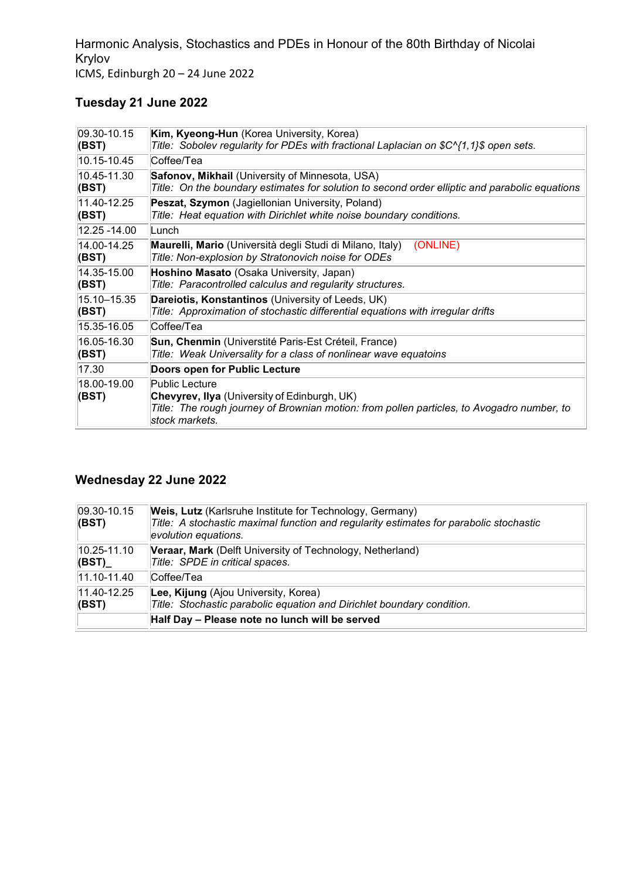Harmonic Analysis, Stochastics and PDEs in Honour of the 80th Birthday of Nicolai Krylov ICMS, Edinburgh 20 – 24 June 2022

## **Tuesday 21 June 2022**

| 09.30-10.15          | <b>Kim, Kyeong-Hun</b> (Korea University, Korea)                                                                                                                                      |
|----------------------|---------------------------------------------------------------------------------------------------------------------------------------------------------------------------------------|
| (BST)                | Title: Sobolev regularity for PDEs with fractional Laplacian on \$C^{1,1}\$ open sets.                                                                                                |
| 10.15-10.45          | Coffee/Tea                                                                                                                                                                            |
| 10.45-11.30          | Safonov, Mikhail (University of Minnesota, USA)                                                                                                                                       |
| (BST)                | Title: On the boundary estimates for solution to second order elliptic and parabolic equations                                                                                        |
| 11.40-12.25          | Peszat, Szymon (Jagiellonian University, Poland)                                                                                                                                      |
| (BST)                | Title: Heat equation with Dirichlet white noise boundary conditions.                                                                                                                  |
| 12.25 -14.00         | ∣Lunch                                                                                                                                                                                |
| 14.00-14.25<br>(BST) | <b>Maurelli, Mario</b> (Università degli Studi di Milano, Italy)<br>(ONLINE)<br>Title: Non-explosion by Stratonovich noise for ODEs                                                   |
| 14.35-15.00          | Hoshino Masato (Osaka University, Japan)                                                                                                                                              |
| (BST)                | Title: Paracontrolled calculus and regularity structures.                                                                                                                             |
| 15.10-15.35          | Dareiotis, Konstantinos (University of Leeds, UK)                                                                                                                                     |
| (BST)                | Title: Approximation of stochastic differential equations with irregular drifts                                                                                                       |
| 15.35-16.05          | Coffee/Tea                                                                                                                                                                            |
| 16.05-16.30          | Sun, Chenmin (Universtité Paris-Est Créteil, France)                                                                                                                                  |
| (BST)                | Title: Weak Universality for a class of nonlinear wave equatoins                                                                                                                      |
| 17.30                | Doors open for Public Lecture                                                                                                                                                         |
| 18.00-19.00<br>(BST) | Public Lecture<br><b>Chevyrev, Ilya</b> (University of Edinburgh, UK)<br>Title: The rough journey of Brownian motion: from pollen particles, to Avogadro number, to<br>stock markets. |

### **Wednesday 22 June 2022**

| $ 09.30 - 10.15 $<br>  (BST)     | Weis, Lutz (Karlsruhe Institute for Technology, Germany)<br>Title: A stochastic maximal function and regularity estimates for parabolic stochastic<br>evolution equations. |
|----------------------------------|----------------------------------------------------------------------------------------------------------------------------------------------------------------------------|
| $10.25 - 11.10$<br>$  (BST)_{-}$ | Veraar, Mark (Delft University of Technology, Netherland)<br>Title: SPDE in critical spaces.                                                                               |
| $ 11.10 - 11.40 $                | Coffee/Tea                                                                                                                                                                 |
| 11.40-12.25<br>  (BST)           | Lee, Kijung (Ajou University, Korea)<br>Title: Stochastic parabolic equation and Dirichlet boundary condition.                                                             |
|                                  | Half Day - Please note no lunch will be served                                                                                                                             |